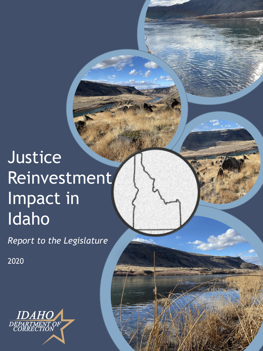# Justice Reinvestment Impact in Idaho

*Report to the Legislature*

**1**

2020

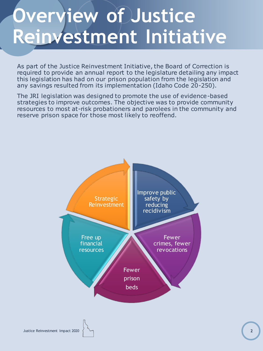# **Overview of Justice Reinvestment Initiative**

As part of the Justice Reinvestment Initiative, the Board of Correction is required to provide an annual report to the legislature detailing any impact this legislation has had on our prison population from the legislation and any savings resulted from its implementation (Idaho Code 20-250).

The JRI legislation was designed to promote the use of evidence-based strategies to improve outcomes. The objective was to provide community resources to most at-risk probationers and parolees in the community and reserve prison space for those most likely to reoffend.

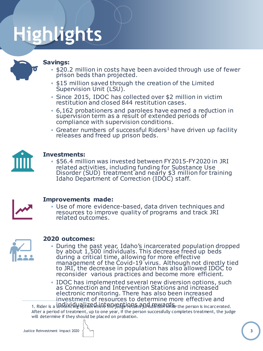# **Highlights**

#### **Savings:**

- **.** \$20.2 million in costs have been avoided through use of fewer prison beds than projected.
- **.** \$15 million saved through the creation of the Limited Supervision Unit (LSU).
- Since 2015, IDOC has collected over \$2 million in victim restitution and closed 844 restitution cases.
- 6,162 probationers and parolees have earned a reduction in supervision term as a result of extended periods of compliance with supervision conditions.
- **Greater numbers of successful Riders<sup>1</sup> have driven up facility** releases and freed up prison beds.



#### **Investments:**

▪ \$56.4 million was invested between FY2015-FY2020 in JRI related activities, including funding for Substance Use Disorder (SUD) treatment and nearly \$3 million for training Idaho Department of Correction (IDOC) staff.



#### **Improvements made:**

▪ Use of more evidence-based, data driven techniques and resources to improve quality of programs and track JRI related outcomes.



#### **2020 outcomes:**

▪ During the past year, Idaho's incarcerated population dropped by about 1,500 individuals. This decrease freed up beds during a critical time, allowing for more effective management of the Covid-19 virus. Although not directly tied to JRI, the decrease in population has also allowed IDOC to reconsider various practices and become more efficient.

**• IDOC has implemented several new diversion options, such** as Connection and Intervention Stations and increased electronic monitoring. There has also been increased investment of resources to determine more effective and

1. Rider is a sententing of ize where the jeast inters and rewards the person is incarcerated. After a period of treatment, up to one year, if the person successfully completes treatment, the judge will determine if they should be placed on probation.

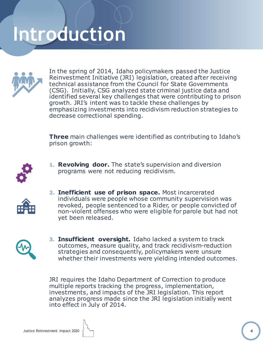# **Introduction**



In the spring of 2014, Idaho policymakers passed the Justice Reinvestment Initiative (JRI) legislation, created after receiving technical assistance from the Council for State Governments (CSG). Initially, CSG analyzed state criminal justice data and identified several key challenges that were contributing to prison growth. JRI's intent was to tackle these challenges by emphasizing investments into recidivism reduction strategies to decrease correctional spending.

**Three** main challenges were identified as contributing to Idaho's prison growth:



**1. Revolving door.** The state's supervision and diversion programs were not reducing recidivism.



**2. Inefficient use of prison space.** Most incarcerated individuals were people whose community supervision was revoked, people sentenced to a Rider, or people convicted of non-violent offenses who were eligible for parole but had not yet been released.



**3. Insufficient oversight.** Idaho lacked a system to track outcomes, measure quality, and track recidivism-reduction strategies and consequently, policymakers were unsure whether their investments were yielding intended outcomes.

JRI requires the Idaho Department of Correction to produce multiple reports tracking the progress, implementation, investments, and impacts of the JRI legislation. This report analyzes progress made since the JRI legislation initially went into effect in July of 2014.

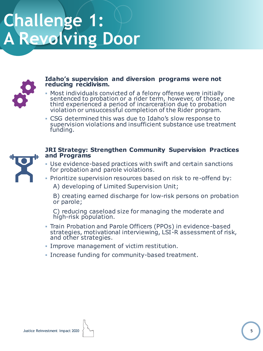# **Challenge 1: A Revolving Door**



#### **Idaho's supervision and diversion programs were not reducing recidivism.**

- **Most individuals convicted of a felony offense were initially** sentenced to probation or a rider term, however, of those, one third experienced a period of incarceration due to probation violation or unsuccessful completion of the Rider program.
- CSG determined this was due to Idaho's slow response to supervision violations and insufficient substance use treatment funding.



#### **JRI Strategy: Strengthen Community Supervision Practices and Programs**

- **.** Use evidence-based practices with swift and certain sanctions for probation and parole violations.
- Prioritize supervision resources based on risk to re-offend by:

A) developing of Limited Supervision Unit;

B) creating earned discharge for low-risk persons on probation or parole;

C) reducing caseload size for managing the moderate and high-risk population.

- **Train Probation and Parole Officers (PPOs) in evidence-based** strategies, motivational interviewing, LSI-R assessment of risk, and other strategies.
- **.** Improve management of victim restitution.
- **Increase funding for community-based treatment.**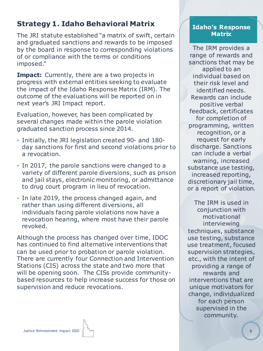# **Strategy 1. Idaho Behavioral Matrix**

The JRI statute established "a matrix of swift, certain and graduated sanctions and rewards to be imposed by the board in response to corresponding violations of or compliance with the terms or conditions imposed."

**Impact:** Currently, there are a two projects in progress with external entities seeking to evaluate the impact of the Idaho Response Matrix (IRM). The outcome of the evaluations will be reported on in next year's JRI Impact report.

Evaluation, however, has been complicated by several changes made within the parole violation graduated sanction process since 2014.

- Initially, the JRI legislation created 90- and 180 day sanctions for first and second violations prior to a revocation.
- In 2017, the parole sanctions were changed to a variety of different parole diversions, such as prison and jail stays, electronic monitoring, or admittance to drug court program in lieu of revocation.
- In late 2019, the process changed again, and rather than using different diversions, all individuals facing parole violations now have a revocation hearing, where most have their parole revoked.

Although the process has changed over time, IDOC has continued to find alternative interventions that can be used prior to probation or parole violation. There are currently four Connection and Intervention Stations (CIS) across the state and two more that will be opening soon. The CISs provide communitybased resources to help increase success for those on supervision and reduce revocations.

#### **Idaho's Response Matrix**

The IRM provides a range of rewards and sanctions that may be applied to an individual based on their risk level and identified needs. Rewards can include positive verbal feedback, certificates for completion of programming, written recognition, or a request for early discharge. Sanctions can include a verbal warning, increased substance use testing, increased reporting, discretionary jail time, or a report of violation.

The IRM is used in conjunction with motivational interviewing techniques, substance use testing, substance use treatment, focused supervision strategies, etc., with the intent of providing a range of rewards and interventions that are unique motivators for change, individualized for each person supervised in the community.

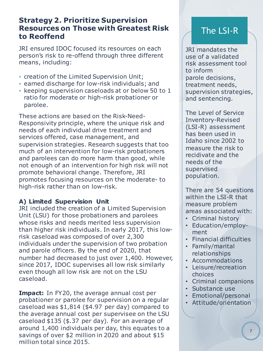# **Strategy 2. Prioritize Supervision Resources on Those with Greatest Risk to Reoffend**

JRI ensured IDOC focused its resources on each person's risk to re-offend through three different means, including:

- creation of the Limited Supervision Unit;
- **Example discharge for low-risk individuals; and**
- keeping supervision caseloads at or below 50 to 1 ratio for moderate or high-risk probationer or parolee.

These actions are based on the Risk-Need-Responsivity principle, where the unique risk and needs of each individual drive treatment and services offered, case management, and supervision strategies. Research suggests that too much of an intervention for low-risk probationers and parolees can do more harm than good, while not enough of an intervention for high risk will not promote behavioral change. Therefore, JRI promotes focusing resources on the moderate- to high-risk rather than on low-risk.

### **A) Limited Supervision Unit**

JRI included the creation of a Limited Supervision Unit (LSU) for those probationers and parolees whose risks and needs merited less supervision than higher risk individuals. In early 2017, this lowrisk caseload was composed of over 2,300 individuals under the supervision of two probation and parole officers. By the end of 2020, that number had decreased to just over 1,400. However, since 2017, IDOC supervises all low risk similarly even though all low risk are not on the LSU caseload.

**Impact:** In FY20, the average annual cost per probationer or parolee for supervision on a regular caseload was \$1,814 (\$4.97 per day) compared to the average annual cost per supervisee on the LSU caseload \$135 (\$.37 per day). For an average of around 1,400 individuals per day, this equates to a savings of over \$2 million in 2020 and about \$15 million total since 2015.

# The LSI-R

JRI mandates the use of a validated risk assessment tool to inform parole decisions, treatment needs, supervision strategies, and sentencing.

The Level of Service Inventory-Revised (LSI-R) assessment has been used in Idaho since 2002 to measure the risk to recidivate and the needs of the supervised population.

There are 54 questions within the LSI-R that measure problem areas associated with:

- Criminal history
- Education/employment
- Financial difficulties
- Family/marital relationships
- Accommodations
- Leisure/recreation choices
- Criminal companions
- Substance use
- Emotional/personal
- Attitude/orientation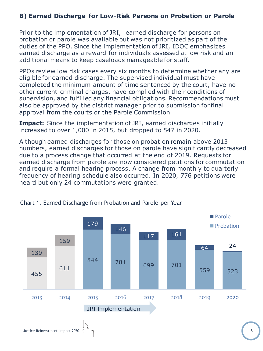### **B) Earned Discharge for Low-Risk Persons on Probation or Parole**

Prior to the implementation of JRI, earned discharge for persons on probation or parole was available but was not prioritized as part of the duties of the PPO. Since the implementation of JRI, IDOC emphasizes earned discharge as a reward for individuals assessed at low risk and an additional means to keep caseloads manageable for staff.

PPOs review low risk cases every six months to determine whether any are eligible for earned discharge. The supervised individual must have completed the minimum amount of time sentenced by the court, have no other current criminal charges, have complied with their conditions of supervision, and fulfilled any financial obligations. Recommendations must also be approved by the district manager prior to submission for final approval from the courts or the Parole Commission.

**Impact:** Since the implementation of JRI, earned discharges initially increased to over 1,000 in 2015, but dropped to 547 in 2020.

Although earned discharges for those on probation remain above 2013 numbers, earned discharges for those on parole have significantly decreased due to a process change that occurred at the end of 2019. Requests for earned discharge from parole are now considered petitions for commutation and require a formal hearing process. A change from monthly to quarterly frequency of hearing schedule also occurred. In 2020, 776 petitions were heard but only 24 commutations were granted.



#### Chart 1. Earned Discharge from Probation and Parole per Year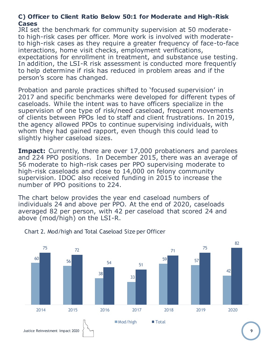#### **C) Officer to Client Ratio Below 50:1 for Moderate and High-Risk Cases**

JRI set the benchmark for community supervision at 50 moderateto high-risk cases per officer. More work is involved with moderateto high-risk cases as they require a greater frequency of face-to-face interactions, home visit checks, employment verifications, expectations for enrollment in treatment, and substance use testing. In addition, the LSI-R risk assessment is conducted more frequently to help determine if risk has reduced in problem areas and if the person's score has changed.

Probation and parole practices shifted to 'focused supervision' in 2017 and specific benchmarks were developed for different types of caseloads. While the intent was to have officers specialize in the supervision of one type of risk/need caseload, frequent movements of clients between PPOs led to staff and client frustrations. In 2019, the agency allowed PPOs to continue supervising individuals, with whom they had gained rapport, even though this could lead to slightly higher caseload sizes.

**Impact:** Currently, there are over 17,000 probationers and parolees and 224 PPO positions. In December 2015, there was an average of 56 moderate to high-risk cases per PPO supervising moderate to high-risk caseloads and close to 14,000 on felony community supervision. IDOC also received funding in 2015 to increase the number of PPO positions to 224.

The chart below provides the year end caseload numbers of individuals 24 and above per PPO. At the end of 2020, caseloads averaged 82 per person, with 42 per caseload that scored 24 and above (mod/high) on the LSI-R.



Chart 2. Mod/high and Total Caseload Size per Officer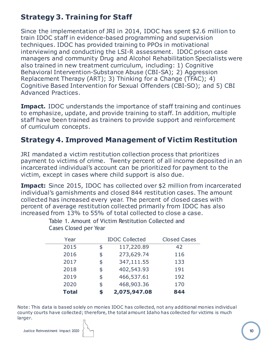# **Strategy 3. Training for Staff**

Since the implementation of JRI in 2014, IDOC has spent \$2.6 million to train IDOC staff in evidence-based programming and supervision techniques. IDOC has provided training to PPOs in motivational interviewing and conducting the LSI-R assessment. IDOC prison case managers and community Drug and Alcohol Rehabilitation Specialists were also trained in new treatment curriculum, including: 1) Cognitive Behavioral Intervention-Substance Abuse (CBI-SA); 2) Aggression Replacement Therapy (ART); 3) Thinking for a Change (TFAC); 4) Cognitive Based Intervention for Sexual Offenders (CBI-SO); and 5) CBI Advanced Practices.

**Impact. IDOC** understands the importance of staff training and continues to emphasize, update, and provide training to staff. In addition, multiple staff have been trained as trainers to provide support and reinforcement of curriculum concepts.

# **Strategy 4. Improved Management of Victim Restitution**

JRI mandated a victim restitution collection process that prioritizes payment to victims of crime. Twenty percent of all income deposited in an incarcerated individual's account can be prioritized for payment to the victim, except in cases where child support is also due.

**Impact:** Since 2015, IDOC has collected over \$2 million from incarcerated individual's garnishments and closed 844 restitution cases. The amount collected has increased every year. The percent of closed cases with percent of average restitution collected primarily from IDOC has also increased from 13% to 55% of total collected to close a case.

| Year         | <b>IDOC Collected</b> | <b>Closed Cases</b> |  |
|--------------|-----------------------|---------------------|--|
| 2015         | \$<br>117,220.89      | 42                  |  |
| 2016         | \$<br>273,629.74      | 116                 |  |
| 2017         | \$<br>347,111.55      | 133                 |  |
| 2018         | \$<br>402,543.93      | 191                 |  |
| 2019         | \$<br>466,537.61      | 192                 |  |
| 2020         | \$<br>468,903.36      | 170                 |  |
| <b>Total</b> | \$<br>2,075,947.08    | 844                 |  |

Table 1. Amount of Victim Restitution Collected and Cases Closed per Year

Note: This data is based solely on monies IDOC has collected, not any additional monies individual county courts have collected; therefore, the total amount Idaho has collected for victims is much larger.

**10**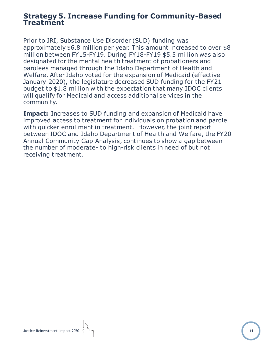### **Strategy 5. Increase Funding for Community-Based Treatment**

Prior to JRI, Substance Use Disorder (SUD) funding was approximately \$6.8 million per year. This amount increased to over \$8 million between FY15-FY19. During FY18-FY19 \$5.5 million was also designated for the mental health treatment of probationers and parolees managed through the Idaho Department of Health and Welfare. After Idaho voted for the expansion of Medicaid (effective January 2020), the legislature decreased SUD funding for the FY21 budget to \$1.8 million with the expectation that many IDOC clients will qualify for Medicaid and access additional services in the community.

**Impact:** Increases to SUD funding and expansion of Medicaid have improved access to treatment for individuals on probation and parole with quicker enrollment in treatment. However, the joint report between IDOC and Idaho Department of Health and Welfare, the FY20 Annual Community Gap Analysis, continues to show a gap between the number of moderate- to high-risk clients in need of but not receiving treatment.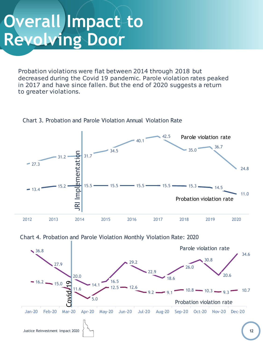# **Overall Impact to Revolving Door**

Probation violations were flat between 2014 through 2018 but decreased during the Covid 19 pandemic. Parole violation rates peaked in 2017 and have since fallen. But the end of 2020 suggests a return to greater violations.



Chart 3. Probation and Parole Violation Annual Violation Rate



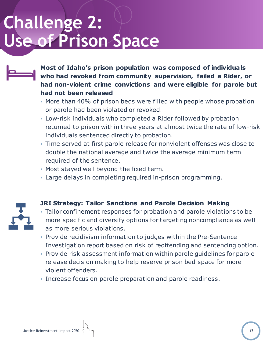# **Challenge 2: Use of Prison Space**

**Most of Idaho's prison population was composed of individuals who had revoked from community supervision, failed a Rider, or had non-violent crime convictions and were eligible for parole but had not been released**

- More than 40% of prison beds were filled with people whose probation or parole had been violated or revoked.
- **.** Low-risk individuals who completed a Rider followed by probation returned to prison within three years at almost twice the rate of low-risk individuals sentenced directly to probation.
- Time served at first parole release for nonviolent offenses was close to double the national average and twice the average minimum term required of the sentence.
- **Most stayed well beyond the fixed term.**
- **.** Large delays in completing required in-prison programming.



# **JRI Strategy: Tailor Sanctions and Parole Decision Making**

- **EXALGE 1** Tailor confinement responses for probation and parole violations to be more specific and diversify options for targeting noncompliance as well as more serious violations.
- **Provide recidivism information to judges within the Pre-Sentence** Investigation report based on risk of reoffending and sentencing option.
- Provide risk assessment information within parole guidelines for parole release decision making to help reserve prison bed space for more violent offenders.
- **.** Increase focus on parole preparation and parole readiness.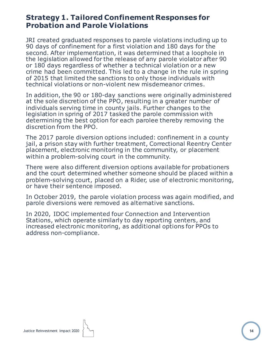# **Strategy 1. Tailored Confinement Responses for Probation and Parole Violations**

JRI created graduated responses to parole violations including up to 90 days of confinement for a first violation and 180 days for the second. After implementation, it was determined that a loophole in the legislation allowed for the release of any parole violator after 90 or 180 days regardless of whether a technical violation or a new crime had been committed. This led to a change in the rule in spring of 2015 that limited the sanctions to only those individuals with technical violations or non-violent new misdemeanor crimes.

In addition, the 90 or 180-day sanctions were originally administered at the sole discretion of the PPO, resulting in a greater number of individuals serving time in county jails. Further changes to the legislation in spring of 2017 tasked the parole commission with determining the best option for each parolee thereby removing the discretion from the PPO.

The 2017 parole diversion options included: confinement in a county jail, a prison stay with further treatment, Correctional Reentry Center placement, electronic monitoring in the community, or placement within a problem-solving court in the community.

There were also different diversion options available for probationers and the court determined whether someone should be placed within a problem-solving court, placed on a Rider, use of electronic monitoring, or have their sentence imposed.

In October 2019, the parole violation process was again modified, and parole diversions were removed as alternative sanctions.

In 2020, IDOC implemented four Connection and Intervention Stations, which operate similarly to day reporting centers, and increased electronic monitoring, as additional options for PPOs to address non-compliance.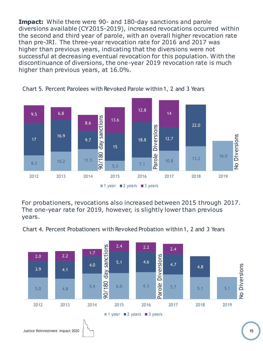**Impact:** While there were 90- and 180-day sanctions and parole diversions available (CY2015-2019), increased revocations occurred within the second and third year of parole, with an overall higher revocation rate than pre-JRI. The three-year revocation rate for 2016 and 2017 was higher than previous years, indicating that the diversions were not successful at decreasing eventual revocation for this population. With the discontinuance of diversions, the one-year 2019 revocation rate is much higher than previous years, at 16.0%.





For probationers, revocations also increased between 2015 through 2017. The one-year rate for 2019, however, is slightly lower than previous years.

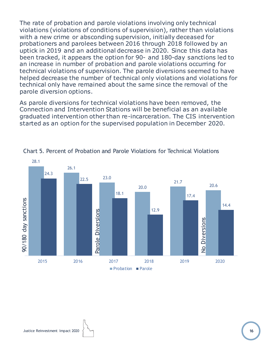The rate of probation and parole violations involving only technical violations (violations of conditions of supervision), rather than violations with a new crime or absconding supervision, initially deceased for probationers and parolees between 2016 through 2018 followed by an uptick in 2019 and an additional decrease in 2020. Since this data has been tracked, it appears the option for 90- and 180-day sanctions led to an increase in number of probation and parole violations occurring for technical violations of supervision. The parole diversions seemed to have helped decrease the number of technical only violations and violations for technical only have remained about the same since the removal of the parole diversion options.

As parole diversions for technical violations have been removed, the Connection and Intervention Stations will be beneficial as an available graduated intervention other than re-incarceration. The CIS intervention started as an option for the supervised population in December 2020.



Chart 5. Percent of Probation and Parole Violations for Technical Violations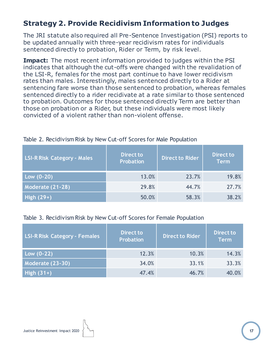# **Strategy 2. Provide Recidivism Information to Judges**

The JRI statute also required all Pre-Sentence Investigation (PSI) reports to be updated annually with three-year recidivism rates for individuals sentenced directly to probation, Rider or Term, by risk level.

**Impact:** The most recent information provided to judges within the PSI indicates that although the cut-offs were changed with the revalidation of the LSI-R, females for the most part continue to have lower recidivism rates than males. Interestingly, males sentenced directly to a Rider at sentencing fare worse than those sentenced to probation, whereas females sentenced directly to a rider recidivate at a rate similar to those sentenced to probation. Outcomes for those sentenced directly Term are better than those on probation or a Rider, but these individuals were most likely convicted of a violent rather than non-violent offense.

| <b>LSI-R Risk Category - Males</b> | <b>Direct to</b><br><b>Probation</b> | <b>Direct to Rider</b> | <b>Direct to</b><br><b>Term</b> |
|------------------------------------|--------------------------------------|------------------------|---------------------------------|
| Low $(0-20)$                       | 13.0%                                | 23.7%                  | 19.8%                           |
| Moderate (21-28)                   | 29.8%                                | 44.7%                  | 27.7%                           |
| $High(29+)$                        | 50.0%                                | 58.3%                  | 38.2%                           |

#### Table 2. Recidivism Risk by New Cut-off Scores for Male Population

#### Table 3. Recidivism Risk by New Cut-off Scores for Female Population

| <b>LSI-R Risk Category - Females</b> | Direct to<br>Probation | <b>Direct to Rider</b> | <b>Direct to</b><br><b>Term</b> |
|--------------------------------------|------------------------|------------------------|---------------------------------|
| Low $(0-22)$                         | 12.3%                  | 10.3%                  | 14.3%                           |
| <b>Moderate (23-30)</b>              | 34.0%                  | 33.1%                  | 33.3%                           |
| High $(31+)$                         | 47.4%                  | 46.7%                  | 40.0%                           |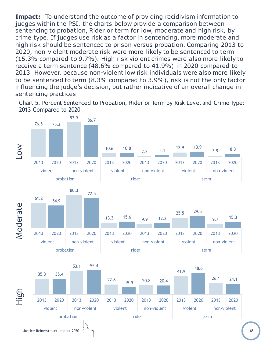**Impact:** To understand the outcome of providing recidivism information to judges within the PSI, the charts below provide a comparison between sentencing to probation, Rider or term for low, moderate and high risk, by crime type. If judges use risk as a factor in sentencing, more moderate and high risk should be sentenced to prison versus probation. Comparing 2013 to 2020, non-violent moderate risk were more likely to be sentenced to term (15.3% compared to 9.7%). High risk violent crimes were also more likely to receive a term sentence (48.6% compared to 41.9%) in 2020 compared to 2013. However, because non-violent low risk individuals were also more likely to be sentenced to term (8.3% compared to 3.9%), risk is not the only factor influencing the judge's decision, but rather indicative of an overall change in sentencing practices.

Chart 5. Percent Sentenced to Probation, Rider or Term by Risk Level and Crime Type: 2013 Compared to 2020

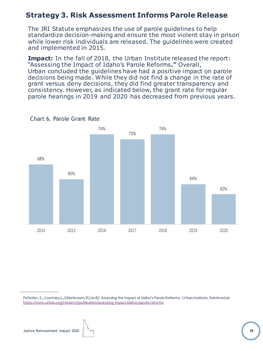# **Strategy 3. Risk Assessment Informs Parole Release**

The JRI Statute emphasizes the use of parole guidelines to help standardize decision-making and ensure the most violent stay in prison while lower risk individuals are released. The guidelines were created and implemented in 2015.

**Impact:** In the fall of 2018, the Urban Institute released the report: "Assessing the Impact of Idaho's Parole Reforms**."** Overall, Urban concluded the guidelines have had a positive impact on parole decisions being made. While they did not find a change in the rate of grant versus deny decisions, they did find greater transparency and consistency. However, as indicated below, the grant rate for regular parole hearings in 2019 and 2020 has decreased from previous years.



Chart 6. Parole Grant Rate

Pelletier, E., Courtney,L.,Elderbroom, B (2018). Assessing the Impact of Idaho's Parole Reforms. Urban Institute. Retrieved at: https://www.urban.org/research/publication/assessing-impact-idahos-parole-reforms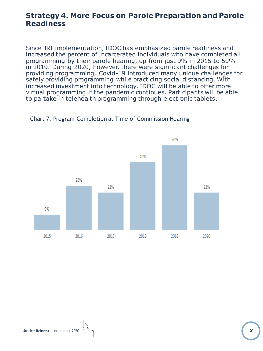# **Strategy 4. More Focus on Parole Preparation and Parole Readiness**

Since JRI implementation, IDOC has emphasized parole readiness and increased the percent of incarcerated individuals who have completed all programming by their parole hearing, up from just 9% in 2015 to 50% in 2019. During 2020, however, there were significant challenges for providing programming. Covid-19 introduced many unique challenges for safely providing programming while practicing social distancing. With increased investment into technology, IDOC will be able to offer more virtual programming if the pandemic continues. Participants will be able to partake in telehealth programming through electronic tablets.



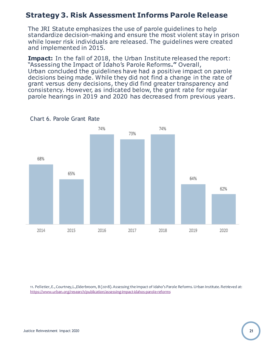# **Strategy 3. Risk Assessment Informs Parole Release**

The JRI Statute emphasizes the use of parole guidelines to help standardize decision-making and ensure the most violent stay in prison while lower risk individuals are released. The guidelines were created and implemented in 2015.

**Impact:** In the fall of 2018, the Urban Institute released the report: "Assessing the Impact of Idaho's Parole Reforms**."** Overall, Urban concluded the guidelines have had a positive impact on parole decisions being made. While they did not find a change in the rate of grant versus deny decisions, they did find greater transparency and consistency. However, as indicated below, the grant rate for regular parole hearings in 2019 and 2020 has decreased from previous years.



Chart 6. Parole Grant Rate

11. Pelletier, E., Courtney,L.,Elderbroom, B (2018). Assessing the Impact of Idaho's Parole Reforms.Urban Institute. Retrieved at: https://www.urban.org/research/publication/assessing-impact-idahos-parole-reforms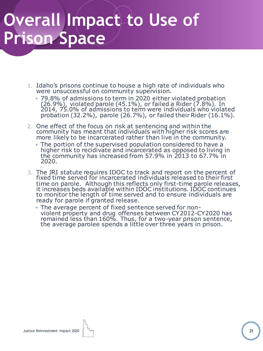# **Overall Impact to Use of Prison Space**

- 1. Idaho's prisons continue to house a high rate of individuals who were unsuccessful on community supervision.
	- 79.8% of admissions to term in 2020 either violated probation (26.9%), violated parole (45.1%), or failed a Rider (7.8%). In 2014, 75.0% of admissions to term were individuals who violated probation (32.2%), parole (26.7%), or failed their Rider (16.1%).
- 2. One effect of the focus on risk at sentencing and within the community has meant that individuals with higher risk scores are more likely to be incarcerated rather than live in the community.
	- The portion of the supervised population considered to have a higher risk to recidivate and incarcerated as opposed to living in the community has increased from 57.9% in 2013 to 67.7% in 2020.
- 3. The JRI statute requires IDOC to track and report on the percent of fixed time served for incarcerated individuals released to their first time on parole. Although this reflects only first-time parole releases, it increases beds available within IDOC institutions. IDOC continues to monitor the length of time served and to ensure individuals are ready for parole if granted release.
	- The average percent of fixed sentence served for nonviolent property and drug offenses between CY2012-CY2020 has remained less than 160%. Thus, for a two-year prison sentence, the average parolee spends a little over three years in prison.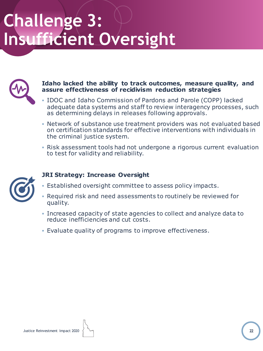

#### **Idaho lacked the ability to track outcomes, measure quality, and assure effectiveness of recidivism reduction strategies**

- **. IDOC and Idaho Commission of Pardons and Parole (COPP) lacked** adequate data systems and staff to review interagency processes, such as determining delays in releases following approvals.
- **.** Network of substance use treatment providers was not evaluated based on certification standards for effective interventions with individuals in the criminal justice system.
- Risk assessment tools had not undergone a rigorous current evaluation to test for validity and reliability.



### **JRI Strategy: Increase Oversight**

- **Established oversight committee to assess policy impacts.**
- **Required risk and need assessments to routinely be reviewed for** quality.
- **.** Increased capacity of state agencies to collect and analyze data to reduce inefficiencies and cut costs.
- Evaluate quality of programs to improve effectiveness.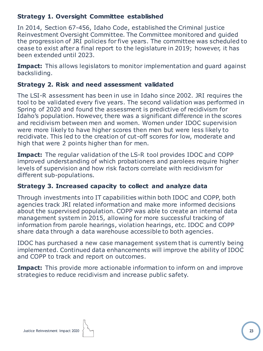### **Strategy 1. Oversight Committee established**

In 2014, Section 67-456, Idaho Code, established the Criminal justice Reinvestment Oversight Committee. The Committee monitored and guided the progression of JRI policies for five years. The committee was scheduled to cease to exist after a final report to the legislature in 2019; however, it has been extended until 2023.

**Impact:** This allows legislators to monitor implementation and guard against backsliding.

#### **Strategy 2. Risk and need assessment validated**

The LSI-R assessment has been in use in Idaho since 2002. JRI requires the tool to be validated every five years. The second validation was performed in Spring of 2020 and found the assessment is predictive of recidivism for Idaho's population. However, there was a significant difference in the scores and recidivism between men and women. Women under IDOC supervision were more likely to have higher scores then men but were less likely to recidivate. This led to the creation of cut-off scores for low, moderate and high that were 2 points higher than for men.

**Impact:** The regular validation of the LS-R tool provides IDOC and COPP improved understanding of which probationers and parolees require higher levels of supervision and how risk factors correlate with recidivism for different sub-populations.

### **Strategy 3. Increased capacity to collect and analyze data**

Through investments into IT capabilities within both IDOC and COPP, both agencies track JRI related information and make more informed decisions about the supervised population. COPP was able to create an internal data management system in 2015, allowing for more successful tracking of information from parole hearings, violation hearings, etc. IDOC and COPP share data through a data warehouse accessible to both agencies.

IDOC has purchased a new case management system that is currently being implemented. Continued data enhancements will improve the ability of IDOC and COPP to track and report on outcomes.

**Impact:** This provide more actionable information to inform on and improve strategies to reduce recidivism and increase public safety.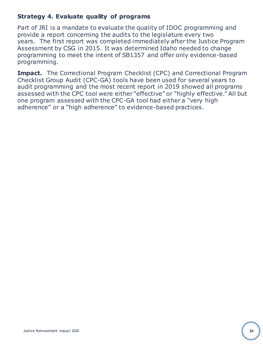### **Strategy 4. Evaluate quality of programs**

Part of JRI is a mandate to evaluate the quality of IDOC programming and provide a report concerning the audits to the legislature every two years. The first report was completed immediately after the Justice Program Assessment by CSG in 2015. It was determined Idaho needed to change programming to meet the intent of SB1357 and offer only evidence-based programming.

**Impact.** The Correctional Program Checklist (CPC) and Correctional Program Checklist Group Audit (CPC-GA) tools have been used for several years to audit programming and the most recent report in 2019 showed all programs assessed with the CPC tool were either "effective" or "highly effective." All but one program assessed with the CPC-GA tool had either a "very high adherence" or a "high adherence" to evidence-based practices.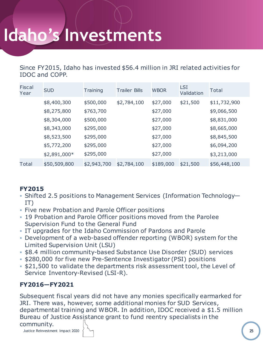# **Idaho's Investments**

Since FY2015, Idaho has invested \$56.4 million in JRI related activities for IDOC and COPP.

| Fiscal<br>Year | <b>SUD</b>   | <b>Training</b> | <b>Trailer Bills</b> | <b>WBOR</b> | <b>LSI</b><br>Validation | Total        |
|----------------|--------------|-----------------|----------------------|-------------|--------------------------|--------------|
|                | \$8,400,300  | \$500,000       | \$2,784,100          | \$27,000    | \$21,500                 | \$11,732,900 |
|                | \$8,275,800  | \$763,700       |                      | \$27,000    |                          | \$9,066,500  |
|                | \$8,304,000  | \$500,000       |                      | \$27,000    |                          | \$8,831,000  |
|                | \$8,343,000  | \$295,000       |                      | \$27,000    |                          | \$8,665,000  |
|                | \$8,523,500  | \$295,000       |                      | \$27,000    |                          | \$8,845,500  |
|                | \$5,772,200  | \$295,000       |                      | \$27,000    |                          | \$6,094,200  |
|                | \$2,891,000* | \$295,000       |                      | \$27,000    |                          | \$3,213,000  |
| Total          | \$50,509,800 | \$2,943,700     | \$2,784,100          | \$189,000   | \$21,500                 | \$56,448,100 |

### **FY2015**

- Shifted 2.5 positions to Management Services (Information Technology— IT)
- **Eive new Probation and Parole Officer positions**
- 19 Probation and Parole Officer positions moved from the Parolee Supervision Fund to the General Fund
- IT upgrades for the Idaho Commission of Pardons and Parole
- Development of a web-based offender reporting (WBOR) system for the Limited Supervision Unit (LSU)
- \$8.4 million community-based Substance Use Disorder (SUD) services
- \$280,000 for five new Pre-Sentence Investigator (PSI) positions
- \$21,500 to validate the departments risk assessment tool, the Level of Service Inventory-Revised (LSI-R).

### **FY2016—FY2021**

Subsequent fiscal years did not have any monies specifically earmarked for JRI. There was, however, some additional monies for SUD Services, departmental training and WBOR. In addition, IDOC received a \$1.5 million Bureau of Justice Assistance grant to fund reentry specialists in the

#### community.

Justice Reinvestment Impact 2020 **25**